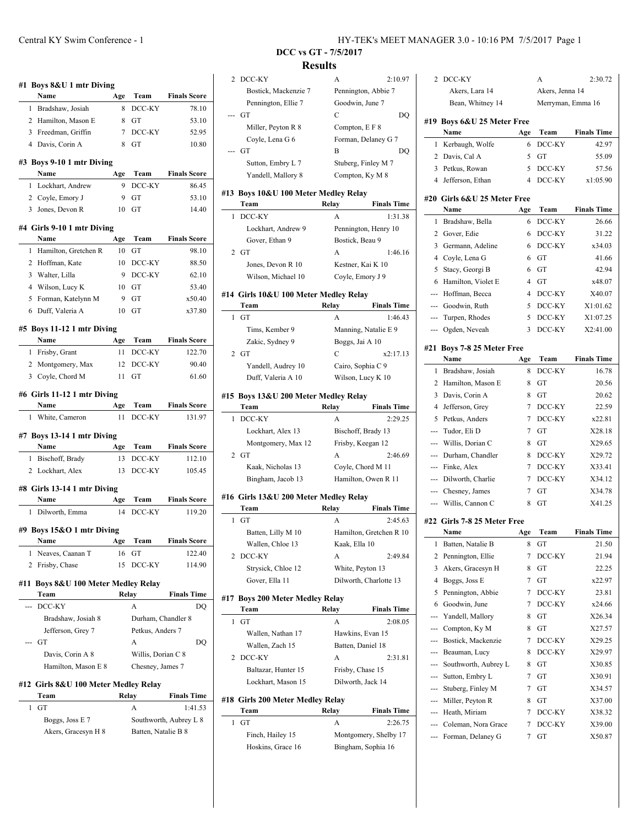| #1 Boys 8&U 1 mtr Diving                                |           |                    |                                                              |
|---------------------------------------------------------|-----------|--------------------|--------------------------------------------------------------|
| Name                                                    | Age       | Team               | <b>Finals Score</b>                                          |
| Bradshaw, Josiah<br>1                                   | 8         | DCC-KY             | 78.10                                                        |
| 2 Hamilton, Mason E                                     | 8         | GT                 | 53.10                                                        |
| 3 Freedman, Griffin                                     | 7         | DCC-KY             | 52.95                                                        |
| 4 Davis, Corin A                                        | 8         | GT                 | 10.80                                                        |
| #3 Boys 9-10 1 mtr Diving<br>Name                       | Age       | Team               | <b>Finals Score</b>                                          |
| Lockhart, Andrew<br>1                                   | 9         | DCC-KY             | 86.45                                                        |
| 2 Coyle, Emory J                                        | 9         | GT                 | 53.10                                                        |
| 3 Jones, Devon R                                        | 10        | GT                 | 14.40                                                        |
| #4 Girls 9-10 1 mtr Diving                              |           |                    |                                                              |
| Name                                                    | Age       | Team               | <b>Finals Score</b>                                          |
| Hamilton, Gretchen R<br>1                               | 10        | GT                 | 98.10                                                        |
| 2 Hoffman, Kate                                         | 10        | DCC-KY             | 88.50                                                        |
| 3 Walter, Lilla                                         | 9         | DCC-KY             | 62.10                                                        |
| 4 Wilson, Lucy K                                        | 10        | GT                 | 53.40                                                        |
| 5<br>Forman, Katelynn M                                 | 9         | GT                 | x50.40                                                       |
| Duff, Valeria A<br>6                                    | 10        | GT                 | x37.80                                                       |
| #5 Boys 11-12 1 mtr Diving                              |           |                    |                                                              |
| Name                                                    | Age       | Team               | <b>Finals Score</b>                                          |
| 1 Frisby, Grant                                         | 11        | DCC-KY             | 122.70                                                       |
| Montgomery, Max<br>2                                    | 12        | DCC-KY             | 90.40                                                        |
| Coyle, Chord M<br>3                                     | 11        | GT                 | 61.60                                                        |
|                                                         |           |                    |                                                              |
| #6 Girls 11-12 1 mtr Diving                             |           |                    |                                                              |
| Name<br>White, Cameron<br>1                             | Age<br>11 | Team<br>DCC-KY     | <b>Finals Score</b><br>131.97                                |
|                                                         |           |                    |                                                              |
| #7 Boys 13-14 1 mtr Diving                              |           |                    |                                                              |
| Name                                                    | Age       | Team               | <b>Finals Score</b>                                          |
| Bischoff, Brady<br>1                                    | 13        | DCC-KY             | 112.10                                                       |
| 2 Lockhart, Alex                                        | 13        | DCC-KY             | 105.45                                                       |
| #8 Girls 13-14 1 mtr Diving                             |           |                    |                                                              |
| Name                                                    | Age       | Team               | <b>Finals Score</b>                                          |
| 1<br>Dilworth, Emma                                     |           |                    |                                                              |
|                                                         | 14        | DCC-KY             |                                                              |
|                                                         |           |                    |                                                              |
| Name                                                    | Age       | Team               | <b>Finals Score</b>                                          |
| Neaves, Caanan T<br>1                                   | 16        | GT                 |                                                              |
| 2<br>Frisby, Chase                                      | 15        | DCC-KY             | 122.40<br>114.90                                             |
|                                                         |           |                    |                                                              |
| Boys 8&U 100 Meter Medley Relay<br>Team                 |           | Relay              |                                                              |
| #9 Boys 15&O 1 mtr Diving<br>#11<br>DCC-KY<br>          |           | A                  |                                                              |
| Bradshaw, Josiah 8                                      |           | Durham, Chandler 8 |                                                              |
| Jefferson, Grey 7                                       |           | Petkus, Anders 7   |                                                              |
| GT                                                      |           | А                  |                                                              |
| Davis, Corin A 8                                        |           | Willis, Dorian C 8 | DQ                                                           |
| Hamilton, Mason E 8                                     |           | Chesney, James 7   |                                                              |
|                                                         |           |                    |                                                              |
| Team                                                    |           |                    | <b>Finals Time</b>                                           |
| GT<br>1                                                 |           | Relay<br>A         | 1:41.53                                                      |
| #12 Girls 8&U 100 Meter Medley Relay<br>Boggs, Joss E 7 |           |                    | 119.20<br><b>Finals Time</b><br>DQ<br>Southworth, Aubrey L 8 |

 $\overline{\phantom{a}}$ 

 $\overline{\phantom{0}}$ 

| 2   | DCC-KY                                | А                | 2:10.97                       |
|-----|---------------------------------------|------------------|-------------------------------|
|     | Bostick, Mackenzie 7                  |                  | Pennington, Abbie 7           |
|     | Pennington, Ellie 7                   | Goodwin, June 7  |                               |
|     | GT                                    | С                | DQ                            |
|     | Miller, Peyton R 8                    | Compton, E F 8   |                               |
|     | Coyle, Lena G 6                       |                  | Forman, Delaney G 7           |
|     | GT                                    | В                | DQ                            |
|     | Sutton, Embry L 7                     |                  | Stuberg, Finley M 7           |
|     | Yandell, Mallory 8                    |                  | Compton, Ky M 8               |
|     |                                       |                  |                               |
|     | #13 Boys 10&U 100 Meter Medley Relay  |                  |                               |
|     | Team                                  | Relay            | <b>Finals Time</b>            |
| 1   | DCC-KY                                | А                | 1:31.38                       |
|     | Lockhart, Andrew 9                    |                  | Pennington, Henry 10          |
|     | Gover, Ethan 9                        | Bostick, Beau 9  |                               |
| 2   | GT                                    | A                | 1:46.16                       |
|     | Jones, Devon R 10                     |                  | Kestner, Kai K 10             |
|     | Wilson, Michael 10                    |                  | Coyle, Emory J 9              |
|     | #14 Girls 10&U 100 Meter Medley Relay |                  |                               |
|     | Team                                  | Relay            | <b>Finals Time</b>            |
| 1   | GT                                    | А                | 1:46.43                       |
|     | Tims, Kember 9                        |                  | Manning, Natalie E 9          |
|     |                                       |                  |                               |
|     | Zakic, Sydney 9                       | Boggs, Jai A 10  |                               |
| 2   | GT                                    | C                | x2:17.13                      |
|     | Yandell, Audrey 10                    |                  | Cairo, Sophia C 9             |
|     | Duff, Valeria A 10                    |                  | Wilson, Lucy K 10             |
|     | #15 Boys 13&U 200 Meter Medley Relay  |                  |                               |
|     |                                       |                  |                               |
|     | Team                                  | Relay            | <b>Finals Time</b>            |
| 1   | DCC-KY                                | A                | 2:29.25                       |
|     | Lockhart, Alex 13                     |                  | Bischoff, Brady 13            |
|     | Montgomery, Max 12                    |                  | Frisby, Keegan 12             |
|     | $2$ GT                                | A                | 2:46.69                       |
|     |                                       |                  |                               |
|     | Kaak, Nicholas 13                     |                  | Coyle, Chord M 11             |
|     | Bingham, Jacob 13                     |                  | Hamilton, Owen R 11           |
|     | #16 Girls 13&U 200 Meter Medley Relay |                  |                               |
|     | Team                                  | Relay            | <b>Finals Time</b>            |
| 1   | GT                                    | A                | 2:45.63                       |
|     | Batten, Lilly M 10                    |                  | Hamilton, Gretchen R 10       |
|     | Wallen, Chloe 13                      | Kaak, Ella 10    |                               |
| 2   | DCC-KY                                | A                | 2:49.84                       |
|     | Strysick, Chloe 12                    |                  | White, Peyton 13              |
|     | Gover, Ella 11                        |                  | Dilworth, Charlotte 13        |
|     |                                       |                  |                               |
| #17 | <b>Boys 200 Meter Medley Relay</b>    |                  |                               |
|     | Team                                  | Relay            | <b>Finals Time</b>            |
| 1   | GТ                                    | A                | 2:08.05                       |
|     | Wallen, Nathan 17                     |                  | Hawkins, Evan 15              |
|     | Wallen, Zach 15                       |                  | Batten, Daniel 18             |
| 2   | DCC-KY                                | A                | 2:31.81                       |
|     | Baltazar, Hunter 15                   | Frisby, Chase 15 |                               |
|     | Lockhart, Mason 15                    |                  | Dilworth, Jack 14             |
|     |                                       |                  |                               |
|     | #18 Girls 200 Meter Medley Relay      |                  |                               |
| 1   | Team<br>GТ                            | Relay<br>A       | <b>Finals Time</b><br>2:26.75 |

Hoskins, Grace 16 Bingham, Sophia 16

| ОСС-КҮ                           | А             | 2:10.97                 |     | 2 DCC-KY                     |     | A                 | 2:30.72            |
|----------------------------------|---------------|-------------------------|-----|------------------------------|-----|-------------------|--------------------|
| Bostick, Mackenzie 7             |               | Pennington, Abbie 7     |     | Akers, Lara 14               |     | Akers, Jenna 14   |                    |
| Pennington, Ellie 7              |               | Goodwin, June 7         |     | Bean, Whitney 14             |     | Merryman, Emma 16 |                    |
| ìТ                               | C             | DQ                      |     |                              |     |                   |                    |
| Miller, Peyton R 8               |               | Compton, E F 8          |     | #19 Boys 6&U 25 Meter Free   |     |                   |                    |
| Coyle, Lena G 6                  |               | Forman, Delaney G 7     |     | Name                         | Age | Team              | <b>Finals Time</b> |
| ìТ                               | B             | DQ                      |     | 1 Kerbaugh, Wolfe            | 6   | DCC-KY            | 42.97              |
| Sutton, Embry L 7                |               | Stuberg, Finley M 7     |     | 2 Davis, Cal A               | 5   | GT                | 55.09              |
| Yandell, Mallory 8               |               | Compton, Ky M 8         |     | 3 Petkus, Rowan              | 5   | DCC-KY            | 57.56              |
|                                  |               |                         | 4   | Jefferson, Ethan             | 4   | DCC-KY            | x1:05.90           |
| oys 10&U 100 Meter Medley Relay  |               |                         |     | #20  Girls 6&U 25 Meter Free |     |                   |                    |
| <b>⊺eam</b>                      | Relay         | <b>Finals Time</b>      |     | Name                         | Age | Team              | <b>Finals Time</b> |
| )CC-KY                           | A             | 1:31.38                 |     | 1 Bradshaw, Bella            | 6   | DCC-KY            | 26.66              |
| Lockhart, Andrew 9               |               | Pennington, Henry 10    |     | 2 Gover, Edie                | 6   | DCC-KY            | 31.22              |
| Gover, Ethan 9                   |               | Bostick, Beau 9         | 3   | Germann, Adeline             | 6   | DCC-KY            | x34.03             |
| ìТ                               | A             | 1:46.16                 | 4   | Coyle, Lena G                | 6   | GT                | 41.66              |
| Jones, Devon R 10                |               | Kestner, Kai K 10       | 5   | Stacy, Georgi B              | 6   | GT                | 42.94              |
| Wilson, Michael 10               |               | Coyle, Emory J 9        | 6   | Hamilton, Violet E           | 4   | GT                | x48.07             |
|                                  |               |                         |     |                              | 4   |                   |                    |
| irls 10&U 100 Meter Medley Relay |               |                         |     | Hoffman, Becca               |     | DCC-KY            | X40.07             |
| `eam                             | Relay         | <b>Finals Time</b>      |     | Goodwin, Ruth                | 5   | DCC-KY            | X1:01.62           |
| Tť                               | A             | 1:46.43                 | --- | Turpen, Rhodes               | 5   | DCC-KY            | X1:07.25           |
| Tims, Kember 9                   |               | Manning, Natalie E 9    | --- | Ogden, Neveah                | 3   | DCC-KY            | X2:41.00           |
| Zakic, Sydney 9                  |               | Boggs, Jai A 10         |     | #21 Boys 7-8 25 Meter Free   |     |                   |                    |
| ìТ                               | C             | x2:17.13                |     | Name                         | Age | Team              | <b>Finals Time</b> |
| Yandell, Audrey 10               |               | Cairo, Sophia C 9       |     | 1 Bradshaw, Josiah           | 8   | DCC-KY            | 16.78              |
| Duff, Valeria A 10               |               | Wilson, Lucy K 10       |     | 2 Hamilton, Mason E          | 8   | GT                | 20.56              |
| oys 13&U 200 Meter Medley Relay  |               |                         |     | 3 Davis, Corin A             | 8   | GT                | 20.62              |
| l`eam                            | Relay         | <b>Finals Time</b>      | 4   | Jefferson, Grey              | 7   | DCC-KY            | 22.59              |
| )CC-KY                           | A             | 2:29.25                 | 5   | Petkus, Anders               | 7   | DCC-KY            | x22.81             |
| Lockhart, Alex 13                |               | Bischoff, Brady 13      | --- | Tudor, Eli D                 | 7   | GT                | X28.18             |
| Montgomery, Max 12               |               | Frisby, Keegan 12       | --- | Willis, Dorian C             | 8   | GT                | X29.65             |
| ìТ                               | A             | 2:46.69                 | --- | Durham, Chandler             | 8   | DCC-KY            | X29.72             |
| Kaak, Nicholas 13                |               | Coyle, Chord M 11       | --- | Finke, Alex                  | 7   | DCC-KY            | X33.41             |
| Bingham, Jacob 13                |               | Hamilton, Owen R 11     | --- | Dilworth, Charlie            | 7   | DCC-KY            | X34.12             |
|                                  |               |                         |     | Chesney, James               | 7   | GT                | X34.78             |
| irls 13&U 200 Meter Medley Relay |               |                         |     | Willis, Cannon C             | 8   | GT                | X41.25             |
| `eam                             | Relay         | <b>Finals Time</b>      |     |                              |     |                   |                    |
| ìГ                               | A             | 2:45.63                 |     | #22 Girls 7-8 25 Meter Free  |     |                   |                    |
| Batten, Lilly M 10               |               | Hamilton, Gretchen R 10 |     | Name                         | Age | Team              | <b>Finals Time</b> |
| Wallen, Chloe 13                 | Kaak, Ella 10 |                         |     | 1 Batten, Natalie B          | 8   | GT                | 21.50              |
| ОСС-КҮ                           | A             | 2:49.84                 |     | 2 Pennington, Ellie          |     | 7 DCC-KY          | 21.94              |
| Strysick, Chloe 12               |               | White, Peyton 13        | 3   | Akers, Gracesyn H            | 8   | GT                | 22.25              |
| Gover, Ella 11                   |               | Dilworth, Charlotte 13  | 4   | Boggs, Joss E                | 7   | GT                | x22.97             |
|                                  |               |                         | 5   | Pennington, Abbie            | 7   | DCC-KY            | 23.81              |
| oys 200 Meter Medley Relay       |               |                         | 6   | Goodwin, June                |     | DCC-KY            | x24.66             |
| `eam                             | Relay         | <b>Finals Time</b>      |     | Yandell, Mallory             | 8   | GT                | X26.34             |
| ìГ                               | А             | 2:08.05                 |     | Compton, Ky M                | 8   | GT                | X27.57             |
| Wallen, Nathan 17                |               | Hawkins, Evan 15        |     | Bostick, Mackenzie           | 7   | DCC-KY            | X29.25             |
| Wallen, Zach 15                  |               | Batten, Daniel 18       |     | Beauman, Lucy                | 8   | DCC-KY            | X29.97             |
| ОСС-КҮ                           | A             | 2:31.81                 |     | Southworth, Aubrey L         | 8   | GT                | X30.85             |
| Baltazar, Hunter 15              |               | Frisby, Chase 15        | --- | Sutton, Embry L              | 7   | GT                | X30.91             |
| Lockhart, Mason 15               |               | Dilworth, Jack 14       |     | Stuberg, Finley M            | 7   | GT                | X34.57             |
| irls 200 Meter Medley Relay      |               |                         |     | Miller, Peyton R             | 8   | GT                | X37.00             |
| `eam                             | Relay         | <b>Finals Time</b>      | --- | Heath, Miriam                | 7   | DCC-KY            | X38.32             |
| ìГ                               | А             | 2:26.75                 | --- | Coleman, Nora Grace          | 7   | DCC-KY            | X39.00             |
| Finch, Hailey 15                 |               | Montgomery, Shelby 17   | --- | Forman, Delaney G            | 7   | GT                | X50.87             |
| Hoskins, Grace 16                |               | Bingham, Sophia 16      |     |                              |     |                   |                    |
|                                  |               |                         |     |                              |     |                   |                    |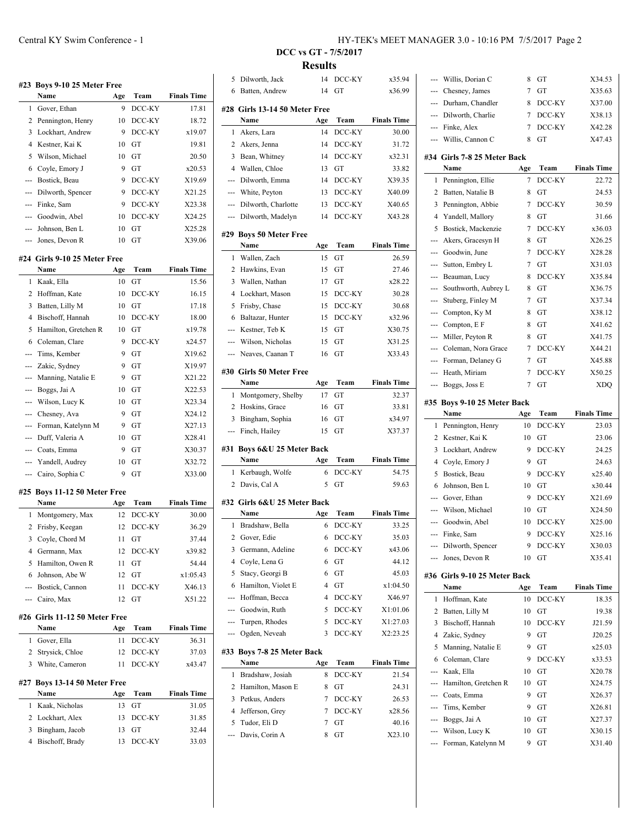| #23          | <b>Boys 9-10 25 Meter Free</b> |     |        |                                               |
|--------------|--------------------------------|-----|--------|-----------------------------------------------|
|              | Name                           | Age | Team   | <b>Finals Time</b>                            |
| 1            | Gover, Ethan                   | 9   | DCC-KY | 17.81                                         |
| 2            | Pennington, Henry              | 10  | DCC-KY | 18.72                                         |
| 3            | Lockhart, Andrew               | 9   | DCC-KY | x19.07                                        |
| 4            | Kestner, Kai K                 | 10  | GT     | 19.81                                         |
| 5            | Wilson, Michael                | 10  | GТ     | 20.50                                         |
| 6            | Coyle, Emory J                 | 9   | GТ     | x20.53                                        |
| ---          | Bostick, Beau                  | 9   | DCC-KY | X19.69                                        |
| ---          | Dilworth, Spencer              | 9   | DCC-KY | X21.25                                        |
|              | --- Finke, Sam                 | 9   | DCC-KY | X23.38                                        |
|              | --- Goodwin, Abel              | 10  | DCC-KY | X24.25                                        |
| ---          | Johnson, Ben L                 | 10  | GТ     | X25.28                                        |
| ---          | Jones, Devon R                 | 10  | GТ     | X39.06                                        |
|              |                                |     |        |                                               |
|              | #24 Girls 9-10 25 Meter Free   |     |        |                                               |
|              | Name                           | Age | Team   | <b>Finals Time</b>                            |
| 1            | Kaak, Ella                     | 10  | GТ     | 15.56                                         |
| 2            | Hoffman, Kate                  | 10  | DCC-KY | 16.15                                         |
| 3            | Batten, Lilly M                | 10  | GТ     | 17.18                                         |
| 4            | Bischoff, Hannah               | 10  | DCC-KY | 18.00                                         |
| 5            | Hamilton, Gretchen R           | 10  | GT     | x19.78                                        |
| 6            | Coleman, Clare                 | 9   | DCC-KY | x24.57                                        |
| ---          | Tims, Kember                   | 9   | GT     | X19.62                                        |
| ---          | Zakic, Sydney                  | 9   | GТ     | X19.97                                        |
|              | --- Manning, Natalie E         | 9   | GT     | X21.22                                        |
|              | --- Boggs, Jai A               | 10  | GT     | X22.53                                        |
|              | --- Wilson, Lucy K             | 10  | GT     | X23.34                                        |
|              | --- Chesney, Ava               | 9   | GТ     | X24.12                                        |
| ---          | Forman, Katelynn M             | 9   | GT     | X27.13                                        |
|              | --- Duff, Valeria A            | 10  | GТ     | X28.41                                        |
|              | --- Coats, Emma                | 9   | GТ     | X30.37                                        |
|              | --- Yandell, Audrey            | 10  | GТ     | X32.72                                        |
| ---          | Cairo, Sophia C                | 9   | GT     | X33.00                                        |
|              |                                |     |        |                                               |
|              | #25 Boys 11-12 50 Meter Free   |     |        |                                               |
|              | Name                           | Age | Team   | <b>Finals Time</b>                            |
| 1            | Montgomery, Max                | 12  | DCC-KY | 30.00                                         |
| 2            | Frisby, Keegan                 | 12  | DCC-KY | 36.29                                         |
|              | 3 Coyle, Chord M               | 11  | GT     | 37.44                                         |
|              | 4 Germann, Max                 | 12  | DCC-KY | x39.82                                        |
| 5            | Hamilton, Owen R               | 11  | GT     | 54.44                                         |
|              | 6 Johnson, Abe W               | 12  | GT     | x1:05.43                                      |
|              | --- Bostick, Cannon            | 11  | DCC-KY | X46.13                                        |
|              | --- Cairo, Max                 | 12  | GT     | X51.22                                        |
|              | #26 Girls 11-12 50 Meter Free  |     |        |                                               |
|              |                                |     | Team   | <b>Finals Time</b>                            |
|              | Name                           | Age |        | 36.31                                         |
| 1            | Gover, Ella                    | 11  | DCC-KY |                                               |
| $\mathbf{2}$ | Strysick, Chloe                | 12  | DCC-KY | 37.03                                         |
|              | 3 White, Cameron               | 11  | DCC-KY | x43.47                                        |
|              |                                |     |        |                                               |
|              | #27 Boys 13-14 50 Meter Free   |     |        |                                               |
|              | Name                           | Age | Team   |                                               |
| 1            | Kaak, Nicholas                 | 13  | GT     |                                               |
|              | 2 Lockhart, Alex               | 13  | DCC-KY |                                               |
| 3            | Bingham, Jacob                 | 13  | GT     | <b>Finals Time</b><br>31.05<br>31.85<br>32.44 |

| 5              | Dilworth, Jack                   | 14  | DCC-KY           | x35.94             |
|----------------|----------------------------------|-----|------------------|--------------------|
| 6              | Batten, Andrew                   | 14  | GT               | x36.99             |
|                | #28 Girls 13-14 50 Meter Free    |     |                  |                    |
|                | Name                             | Age | Team             | <b>Finals Time</b> |
| 1              | Akers, Lara                      | 14  | DCC-KY           | 30.00              |
| 2              | Akers, Jenna                     | 14  | DCC-KY           | 31.72              |
| 3              |                                  | 14  | DCC-KY           | x32.31             |
| 4              | Bean, Whitney                    | 13  | GT               | 33.82              |
| ---            | Wallen, Chloe<br>Dilworth, Emma  | 14  | DCC-KY           | X39.35             |
| ---            |                                  | 13  |                  | X40.09             |
|                | White, Peyton                    |     | DCC-KY           |                    |
| ---            | Dilworth, Charlotte              | 13  | DCC-KY<br>DCC-KY | X40.65             |
| ---            | Dilworth, Madelyn                | 14  |                  | X43.28             |
|                | #29 Boys 50 Meter Free           |     |                  |                    |
|                | Name                             | Age | Team             | <b>Finals Time</b> |
| 1              | Wallen, Zach                     | 15  | GT               | 26.59              |
| 2              | Hawkins, Evan                    | 15  | GТ               | 27.46              |
| 3              | Wallen, Nathan                   | 17  | GT               | x28.22             |
| $\overline{4}$ | Lockhart, Mason                  | 15  | DCC-KY           | 30.28              |
| 5              | Frisby, Chase                    | 15  | DCC-KY           | 30.68              |
| 6              | Baltazar, Hunter                 | 15  | DCC-KY           | x32.96             |
| ---            | Kestner, Teb K                   | 15  | GT               | X30.75             |
| ---            | Wilson, Nicholas                 | 15  | GT               | X31.25             |
| ---            | Neaves, Caanan T                 | 16  | GТ               | X33.43             |
| #30            | <b>Girls 50 Meter Free</b>       |     |                  |                    |
|                | Name                             | Age | Team             | <b>Finals Time</b> |
| 1              | Montgomery, Shelby               | 17  | GТ               | 32.37              |
| 2              | Hoskins, Grace                   | 16  | GT               | 33.81              |
|                |                                  | 16  | GТ               | x34.97             |
| 3              |                                  |     |                  |                    |
| ---            | Bingham, Sophia<br>Finch, Hailey | 15  | GТ               | X37.37             |
|                |                                  |     |                  |                    |
|                | Boys 6&U 25 Meter Back           |     |                  |                    |
|                | Name                             | Age | Team             | <b>Finals Time</b> |
| 1              | Kerbaugh, Wolfe                  | 6   | DCC-KY           | 54.75              |
| 2              | Davis, Cal A                     | 5   | GT               | 59.63              |
|                | #32 Girls 6&U 25 Meter Back      |     |                  |                    |
|                | Name                             | Age | Team             | <b>Finals Time</b> |
| 1              | Bradshaw, Bella                  | 6   | DCC-KY           | 33.25              |
| 2              | Gover, Edie                      | 6   | DCC-KY           | 35.03              |
| 3              | Germann, Adeline                 | 6   | DCC-KY           | x43.06             |
| 4              | Coyle, Lena G                    | 6   | GT               | 44.12              |
| 5              | Stacy, Georgi B                  | 6   | GT               | 45.03              |
| 6              | Hamilton, Violet E               | 4   | GT               | x1:04.50           |
| ---            | Hoffman, Becca                   | 4   | DCC-KY           | X46.97             |
| #31<br>---     | Goodwin, Ruth                    | 5   | DCC-KY           | X1:01.06           |
| ---            | Turpen, Rhodes                   | 5   | DCC-KY           | X1:27.03           |
| ---            | Ogden, Neveah                    | 3   | DCC-KY           | X2:23.25           |
|                | Boys 7-8 25 Meter Back           |     |                  |                    |
|                | Name                             | Age | Team             | <b>Finals Time</b> |
| 1              | Bradshaw, Josiah                 | 8   | DCC-KY           | 21.54              |
| 2              | Hamilton, Mason E                | 8   | GT               | 24.31              |
| #33<br>3       | Petkus, Anders                   | 7   | DCC-KY           | 26.53              |
| 4              | Jefferson, Grey                  | 7   | DCC-KY           | x28.56             |
| 5              | Tudor, Eli D                     | 7   | GT               | 40.16              |
| ---            | Davis, Corin A                   | 8   | GT               | X23.10             |

|     | Willis, Dorian C                     | 8      | GT     | X34.53             |
|-----|--------------------------------------|--------|--------|--------------------|
| --- | Chesney, James                       | 7      | GТ     | X35.63             |
| --- | Durham, Chandler                     | 8      | DCC-KY | X37.00             |
| --- | Dilworth, Charlie                    | 7      | DCC-KY | X38.13             |
| --- | Finke, Alex                          | 7      | DCC-KY | X42.28             |
|     | Willis, Cannon C                     | 8      | GT     | X47.43             |
|     | #34 Girls 7-8 25 Meter Back          |        |        |                    |
|     | Name                                 | Age    | Team   | <b>Finals Time</b> |
| 1   | Pennington, Ellie                    | 7      | DCC-KY | 22.72              |
| 2   | Batten, Natalie B                    | 8      | GT     | 24.53              |
| 3   | Pennington, Abbie                    | 7      | DCC-KY | 30.59              |
| 4   | Yandell, Mallory                     | 8      | GT     | 31.66              |
| 5   | Bostick, Mackenzie                   | 7      | DCC-KY | x36.03             |
| --- | Akers, Gracesyn H                    | 8      | GТ     | X26.25             |
| --- | Goodwin, June                        | 7      | DCC-KY | X28.28             |
| --- | Sutton, Embry L                      | 7      | GТ     | X31.03             |
| --- | Beauman, Lucy                        | 8      | DCC-KY | X35.84             |
| --- | Southworth, Aubrey L                 | 8      | GТ     | X36.75             |
| --- | Stuberg, Finley M                    | 7      | GТ     | X37.34             |
| --- | Compton, Ky M                        | 8      | GТ     | X38.12             |
|     | Compton, E F                         | 8      | GТ     | X41.62             |
|     | Miller, Peyton R                     | 8      | GT     | X41.75             |
| --- | Coleman, Nora Grace                  |        | DCC-KY | X44.21             |
|     |                                      | 7<br>7 |        |                    |
| --- | Forman, Delaney G                    |        | GТ     | X45.88             |
| --- | Heath, Miriam                        | 7      | DCC-KY | X50.25             |
| --- | Boggs, Joss E                        | 7      | GT     | XDQ                |
|     | #35 Boys 9-10 25 Meter Back          |        |        |                    |
|     | Name                                 |        |        |                    |
|     |                                      | Age    | Team   | <b>Finals Time</b> |
| 1   | Pennington, Henry                    | 10     | DCC-KY | 23.03              |
| 2   | Kestner, Kai K                       | 10     | GТ     | 23.06              |
| 3   | Lockhart, Andrew                     | 9      | DCC-KY | 24.25              |
| 4   | Coyle, Emory J                       | 9      | GT     | 24.63              |
| 5   | Bostick, Beau                        | 9      | DCC-KY | x25.40             |
| 6   | Johnson, Ben L                       | 10     | GТ     | x30.44             |
| --- | Gover, Ethan                         | 9      | DCC-KY | X21.69             |
| --- | Wilson, Michael                      | 10     | GT     | X24.50             |
|     | Goodwin, Abel                        | 10     | DCC-KY | X25.00             |
| --- | Finke, Sam                           | 9      | DCC-KY | X25.16             |
|     | Dilworth, Spencer                    | 9      | DCC-KY | X30.03             |
| --- | Jones, Devon R                       | 10     | GT     | X35.41             |
|     |                                      |        |        |                    |
|     | #36 Girls 9-10 25 Meter Back<br>Name | Age    | Team   | <b>Finals Time</b> |
| 1   | Hoffman, Kate                        | 10     | DCC-KY | 18.35              |
| 2   | Batten, Lilly M                      | 10     | GT     | 19.38              |
| 3   | Bischoff, Hannah                     | 10     | DCC-KY | J21.59             |
| 4   | Zakic, Sydney                        | 9      | GT     | J20.25             |
| 5   |                                      | 9      | GT     | x25.03             |
| 6   | Manning, Natalie E<br>Coleman, Clare | 9      | DCC-KY | x33.53             |
| --- | Kaak, Ella                           | 10     | GT     | X20.78             |
| --- | Hamilton, Gretchen R                 | 10     | GT     | X24.75             |
|     | --- Coats, Emma                      | 9      | GT     | X26.37             |
| --- | Tims, Kember                         | 9      | GT     | X26.81             |
|     | Boggs, Jai A                         | 10     | GT     | X27.37             |
|     | Wilson, Lucy K                       | 10     | GТ     |                    |
|     | Forman, Katelynn M                   | 9      | GТ     | X30.15<br>X31.40   |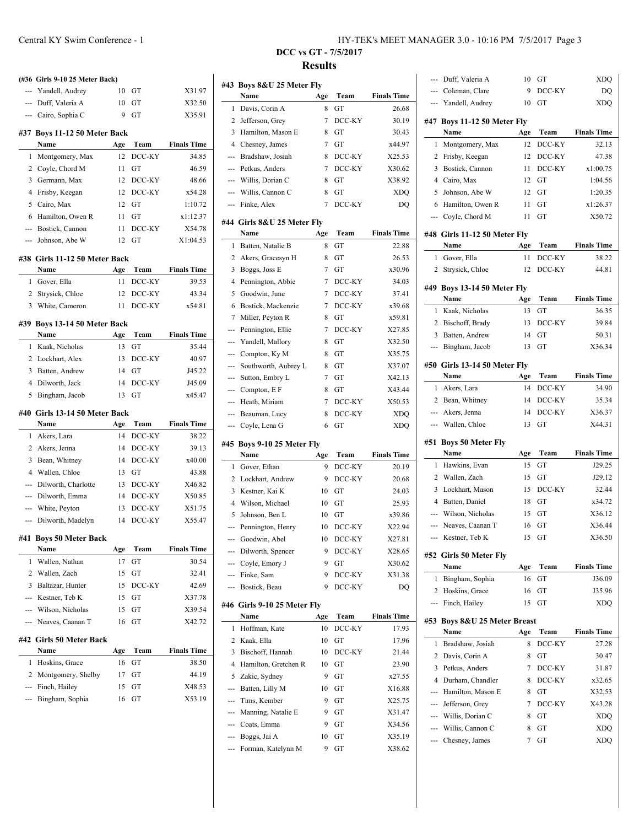|                | (#36 Girls 9-10 25 Meter Back)            |          |              |                    |
|----------------|-------------------------------------------|----------|--------------|--------------------|
|                | --- Yandell, Audrey                       | 10       | GT           | X31.97             |
|                | --- Duff, Valeria A                       | 10       | GТ           | X32.50             |
|                | --- Cairo, Sophia C                       | 9        | GT           | X35.91             |
|                |                                           |          |              |                    |
|                | #37 Boys 11-12 50 Meter Back              |          |              |                    |
|                | Name                                      | Age      | Team         | <b>Finals Time</b> |
| 1              | Montgomery, Max                           | 12       | DCC-KY       | 34.85              |
|                | 2 Coyle, Chord M                          | 11       | GT           | 46.59              |
| 3              | Germann, Max                              | 12       | DCC-KY       | 48.66              |
| $\overline{4}$ | Frisby, Keegan                            | 12       | DCC-KY       | x54.28             |
| 5<br>6         | Cairo, Max                                | 12       | GT<br>GT     | 1:10.72            |
|                | Hamilton, Owen R                          | 11.      |              | x1:12.37           |
|                | --- Bostick, Cannon<br>--- Johnson, Abe W | 11<br>12 | DCC-KY<br>GT | X54.78<br>X1:04.53 |
|                |                                           |          |              |                    |
|                | #38 Girls 11-12 50 Meter Back             |          |              |                    |
|                | Name                                      | Age      | Team         | <b>Finals Time</b> |
| 1              | Gover, Ella                               | 11       | DCC-KY       | 39.53              |
| 2              | Strysick, Chloe                           | 12       | DCC-KY       | 43.34              |
| 3              | White, Cameron                            | 11       | DCC-KY       | x54.81             |
|                | #39 Boys 13-14 50 Meter Back              |          |              |                    |
|                | Name                                      | Age      | Team         | <b>Finals Time</b> |
| 1              | Kaak, Nicholas                            | 13       | GТ           | 35.44              |
| 2              | Lockhart, Alex                            | 13       | DCC-KY       | 40.97              |
| 3              | Batten, Andrew                            | 14       | GT           | J45.22             |
| $\overline{4}$ | Dilworth, Jack                            | 14       | DCC-KY       | J45.09             |
| 5              | Bingham, Jacob                            | 13       | GT           | x45.47             |
|                | #40 Girls 13-14 50 Meter Back             |          |              |                    |
|                | Name                                      | Age      | Team         | <b>Finals Time</b> |
| 1              | Akers, Lara                               | 14       | DCC-KY       | 38.22              |
| 2              | Akers, Jenna                              | 14       | DCC-KY       | 39.13              |
| 3              | Bean, Whitney                             | 14       | DCC-KY       | x40.00             |
| 4              | Wallen, Chloe                             | 13       | GT           | 43.88              |
| ---            | Dilworth, Charlotte                       | 13       | DCC-KY       | X46.82             |
| ---            | Dilworth, Emma                            | 14       | DCC-KY       | X50.85             |
| ---            | White, Peyton                             | 13       | DCC-KY       | X51.75             |
| ---            | Dilworth, Madelyn                         | 14       | DCC-KY       | X55.47             |
| #41            | <b>Boys 50 Meter Back</b>                 |          |              |                    |
|                | Name                                      | Age      | Team         | <b>Finals Time</b> |
| 1              | Wallen, Nathan                            | 17       | GT           | 30.54              |
| 2              | Wallen, Zach                              | 15       | GТ           | 32.41              |
| 3              | Baltazar, Hunter                          | 15       | DCC-KY       | 42.69              |
| ---            | Kestner, Teb K                            | 15       | GT           | X37.78             |
|                | Wilson, Nicholas                          | 15       | GТ           | X39.54             |
| ---            | Neaves, Caanan T                          | 16       | GT           | X42.72             |
|                | #42 Girls 50 Meter Back                   |          |              |                    |
|                | Name                                      | Age      | Team         | <b>Finals Time</b> |
| 1              | Hoskins, Grace                            | 16       | GT           | 38.50              |
| 2              | Montgomery, Shelby                        | 17       | GТ           | 44.19              |
| ---            | Finch, Hailey                             | 15       | GТ           | X48.53             |
|                | Bingham, Sophia                           | 16       | GТ           | X53.19             |
|                |                                           |          |              |                    |
|                |                                           |          |              |                    |

| #43            | Boys 8&U 25 Meter Fly               |         |                  |                    |
|----------------|-------------------------------------|---------|------------------|--------------------|
|                | Name                                | Age     | Team             | <b>Finals Time</b> |
| 1              | Davis, Corin A                      | 8       | GT               | 26.68              |
| 2              | Jefferson, Grey                     | 7       | DCC-KY           | 30.19              |
| 3              | Hamilton, Mason E                   | 8       | GT               | 30.43              |
| 4              | Chesney, James                      | 7       | GT               | x44.97             |
| ---            | Bradshaw, Josiah                    | 8       | DCC-KY           | X25.53             |
| ---            | Petkus, Anders                      | 7       | DCC-KY           | X30.62             |
| ---            | Willis, Dorian C                    | 8       | GT               | X38.92             |
| ---            | Willis, Cannon C                    | 8       | GТ               | XDQ                |
| $\overline{a}$ | Finke, Alex                         | 7       | DCC-KY           | DO                 |
|                | #44 Girls 8&U 25 Meter Flv          |         |                  |                    |
|                | Name                                | Age     | Team             | <b>Finals Time</b> |
| 1              | Batten, Natalie B                   | 8       | GТ               | 22.88              |
| 2              | Akers, Gracesyn H                   | 8       | GТ               | 26.53              |
| 3              | Boggs, Joss E                       | 7       | GT               | x30.96             |
| $\overline{4}$ | Pennington, Abbie                   | 7       | DCC-KY           | 34.03              |
| 5              | Goodwin, June                       | 7       | DCC-KY           | 37.41              |
| 6              | Bostick, Mackenzie                  | 7       | DCC-KY           | x39.68             |
| 7              | Miller, Peyton R                    | 8       | GT               | x59.81             |
| ---            | Pennington, Ellie                   | 7       | DCC-KY           | X27.85             |
| ---            | Yandell, Mallory                    | 8       | GT               | X32.50             |
| ---            | Compton, Ky M                       | 8       | GT               | X35.75             |
| $\overline{a}$ | Southworth, Aubrey L                | 8       | GT               | X37.07             |
| $\overline{a}$ | Sutton, Embry L                     | 7       | GT               | X42.13             |
| ---            | Compton, E F                        | 8       | GT               | X43.44             |
| $\overline{a}$ | Heath, Miriam                       | 7       | DCC-KY           | X50.53             |
| ---            | Beauman, Lucy                       | 8       | DCC-KY           | XDQ                |
|                |                                     |         |                  |                    |
| ---            | Coyle, Lena G                       | 6       | GТ               | XDQ                |
|                |                                     |         |                  |                    |
|                | #45 Boys 9-10 25 Meter Fly<br>Name  | Age     | Team             | <b>Finals Time</b> |
| 1              | Gover, Ethan                        | 9       | DCC-KY           | 20.19              |
| 2              | Lockhart, Andrew                    | 9       | DCC-KY           | 20.68              |
| 3              | Kestner, Kai K                      | 10      | GT               | 24.03              |
| 4              | Wilson, Michael                     | 10      | GT               | 25.93              |
| 5              | Johnson, Ben L                      | 10      | GT               | x39.86             |
| ---            | Pennington, Henry                   | 10      | DCC-KY           | X22.94             |
|                | Goodwin, Abel                       | 10      | DCC-KY           | X27.81             |
|                |                                     | 9       |                  |                    |
| ---            | Dilworth, Spencer<br>Coyle, Emory J | 9       | DCC-KY<br>GT     | X28.65             |
| ---            | Finke, Sam                          | 9       |                  | X30.62<br>X31.38   |
| ---            | Bostick, Beau                       | 9       | DCC-KY<br>DCC-KY | DQ                 |
|                |                                     |         |                  |                    |
|                | #46 Girls 9-10 25 Meter Fly         |         |                  |                    |
|                | Name                                | Age     | Team             | <b>Finals Time</b> |
| 1              | Hoffman, Kate                       | 10      | DCC-KY           | 17.93              |
| 2              | Kaak, Ella                          | 10      | GТ               | 17.96              |
| 3              | Bischoff, Hannah                    | 10      | DCC-KY           | 21.44              |
| 4              | Hamilton, Gretchen R                | 10      | GT               | 23.90              |
| 5              | Zakic, Sydney                       | 9       | GT               | x27.55             |
| ---            | Batten, Lilly M                     | 10      | GT               | X16.88             |
| ---            | Tims, Kember                        | 9       | GT               | X25.75             |
| ---            | Manning, Natalie E                  | 9       | GT               | X31.47             |
| ---            | Coats, Emma                         | 9       | GT               | X34.56             |
| ---<br>---     | Boggs, Jai A<br>Forman, Katelynn M  | 10<br>9 | GT<br>GT         | X35.19<br>X38.62   |

| ---            | Duff, Valeria A              | 10  | GT     | XDQ                |
|----------------|------------------------------|-----|--------|--------------------|
|                | --- Coleman, Clare           | 9   | DCC-KY | DQ                 |
|                | --- Yandell, Audrey          | 10  | GТ     | XDQ                |
|                |                              |     |        |                    |
|                | #47 Boys 11-12 50 Meter Fly  |     |        |                    |
|                | Name                         | Age | Team   | <b>Finals Time</b> |
| 1              | Montgomery, Max              | 12  | DCC-KY | 32.13              |
| 2              | Frisby, Keegan               | 12  | DCC-KY | 47.38              |
| 3              | Bostick, Cannon              | 11  | DCC-KY | x1:00.75           |
| 4              | Cairo, Max                   | 12  | GТ     | 1:04.56            |
| 5              | Johnson, Abe W               | 12  | GТ     | 1:20.35            |
| 6              | Hamilton, Owen R             | 11  | GT     | x1:26.37           |
|                | --- Coyle, Chord M           | 11  | GT     | X50.72             |
|                | #48 Girls 11-12 50 Meter Fly |     |        |                    |
|                | Name                         | Age | Team   | <b>Finals Time</b> |
| 1              | Gover, Ella                  | 11  | DCC-KY | 38.22              |
| $\overline{2}$ | Strysick, Chloe              | 12  | DCC-KY | 44.81              |
|                |                              |     |        |                    |
|                | #49 Boys 13-14 50 Meter Fly  |     |        |                    |
|                | Name                         | Age | Team   | <b>Finals Time</b> |
| 1              | Kaak, Nicholas               | 13  | GT     | 36.35              |
| $\overline{2}$ | Bischoff, Brady              | 13  | DCC-KY | 39.84              |
| 3              | Batten, Andrew               | 14  | GТ     | 50.31              |
| ---            | Bingham, Jacob               | 13  | GT     | X36.34             |
|                | #50 Girls 13-14 50 Meter Fly |     |        |                    |
|                | Name                         | Age | Team   | <b>Finals Time</b> |
| 1              | Akers, Lara                  | 14  | DCC-KY | 34.90              |
| $\overline{2}$ | Bean, Whitney                | 14  | DCC-KY | 35.34              |
| ---            | Akers, Jenna                 | 14  | DCC-KY | X36.37             |
|                | --- Wallen, Chloe            | 13  | GT     | X44.31             |
|                |                              |     |        |                    |
|                |                              |     |        |                    |
|                | #51 Boys 50 Meter Fly        |     |        |                    |
|                | Name                         | Age | Team   | <b>Finals Time</b> |
| 1              | Hawkins, Evan                | 15  | GT     | J29.25             |
| 2              | Wallen, Zach                 | 15  | GT     | J29.12             |
| 3              | Lockhart, Mason              | 15  | DCC-KY | 32.44              |
| 4              | Batten, Daniel               | 18  | GT     | x34.72             |
| ---            | Wilson, Nicholas             | 15  | GT     | X36.12             |
| $\overline{a}$ | Neaves, Caanan T             | 16  | GT     | X36.44             |
|                | --- Kestner, Teb K           | 15  | GT     | X36.50             |
|                |                              |     |        |                    |
|                | #52 Girls 50 Meter Fly       |     |        |                    |
|                | Name                         | Age | Team   | <b>Finals Time</b> |
| 1              | Bingham, Sophia              | 16  | GТ     | J36.09             |
| 2              | Hoskins, Grace               | 16  | GT     | J35.96             |
| ---            | Finch, Hailey                | 15  | GТ     | XDQ                |
|                | #53 Boys 8&U 25 Meter Breast |     |        |                    |
|                | Name                         | Age | Team   | <b>Finals Time</b> |
| 1              | Bradshaw, Josiah             | 8   | DCC-KY | 27.28              |
| 2              | Davis, Corin A               | 8   | GТ     | 30.47              |
| 3              | Petkus, Anders               | 7   | DCC-KY | 31.87              |
| 4              | Durham, Chandler             | 8   | DCC-KY | x32.65             |
| ---            | Hamilton, Mason E            | 8   | GТ     | X32.53             |
| ---            | Jefferson, Grey              | 7   | DCC-KY | X43.28             |
|                | --- Willis, Dorian C         | 8   | GT     | XDQ                |
|                | --- Willis, Cannon C         | 8   | GT     | XDQ                |
|                | Chesney, James               | 7   | GТ     | <b>XDQ</b>         |
|                |                              |     |        |                    |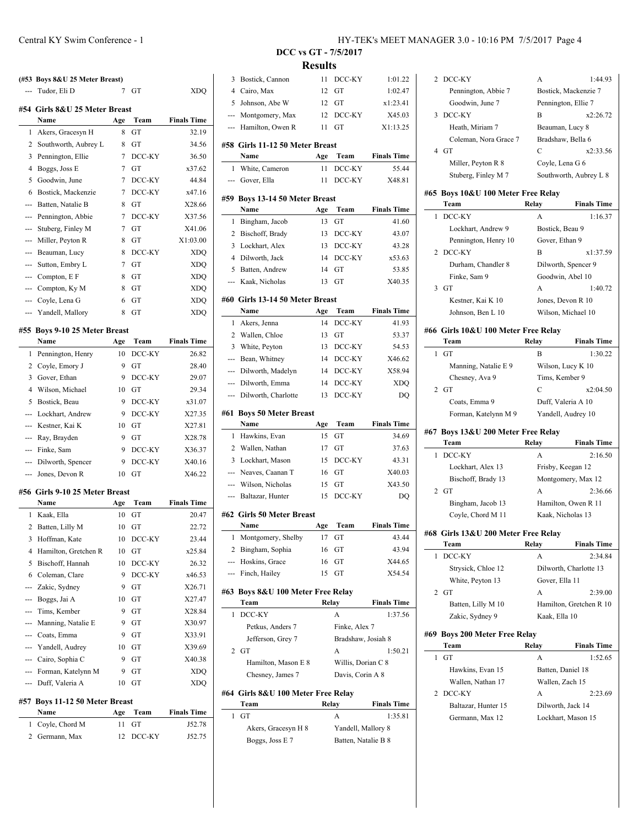|                     | (#53 Boys 8&U 25 Meter Breast)<br>Tudor, Eli D | 7        | GT           | XDQ                |
|---------------------|------------------------------------------------|----------|--------------|--------------------|
|                     | #54 Girls 8&U 25 Meter Breast                  |          |              |                    |
|                     | Name                                           | Age      | Team         | <b>Finals Time</b> |
| 1                   | Akers, Gracesyn H                              | 8        | GТ           | 32.19              |
| 2                   | Southworth, Aubrey L                           | 8        | GТ           | 34.56              |
| 3                   | Pennington, Ellie                              | 7<br>7   | DCC-KY       | 36.50<br>x37.62    |
| 4<br>5              | Boggs, Joss E<br>Goodwin, June                 | 7        | GT<br>DCC-KY | 44.84              |
| 6                   |                                                | 7        | DCC-KY       | x47.16             |
| $- - -$             | Bostick, Mackenzie<br>Batten, Natalie B        | 8        | GT           | X28.66             |
| ---                 | Pennington, Abbie                              | 7        | DCC-KY       | X37.56             |
| ---                 | Stuberg, Finley M                              | 7        | GT           | X41.06             |
| ---                 | Miller, Peyton R                               | 8        | GТ           | X1:03.00           |
| ---                 | Beauman, Lucy                                  | 8        | DCC-KY       | <b>XDQ</b>         |
| ---                 |                                                | 7        | GT           | <b>XDQ</b>         |
| $-1$                | Sutton, Embry L                                | 8        | GT           | <b>XDO</b>         |
|                     | Compton, E F<br>Compton, Ky M                  | 8        | GT           | <b>XDQ</b>         |
|                     | Coyle, Lena G                                  | 6        | GТ           | <b>XDQ</b>         |
| ---                 | Yandell, Mallory                               | 8        | GT           | <b>XDQ</b>         |
|                     |                                                |          |              |                    |
|                     | #55 Boys 9-10 25 Meter Breast                  |          |              |                    |
|                     | Name                                           | Age      | Team         | <b>Finals Time</b> |
| 1                   | Pennington, Henry                              | 10       | DCC-KY       | 26.82              |
| 2                   | Coyle, Emory J                                 | 9        | GT           | 28.40              |
| 3                   | Gover, Ethan                                   | 9        | DCC-KY       | 29.07              |
| 4                   | Wilson, Michael                                | 10       | GT           | 29.34              |
| 5                   | Bostick, Beau                                  | 9        | DCC-KY       | x31.07             |
|                     | Lockhart, Andrew                               | 9        | DCC-KY       | X27.35             |
|                     | Kestner, Kai K                                 | 10       | GT           | X27.81             |
| ---                 | Ray, Brayden                                   | 9        | GТ           | X28.78             |
| ---                 | Finke, Sam                                     | 9        | DCC-KY       | X36.37             |
| ---                 | Dilworth, Spencer                              | 9        | DCC-KY       | X40.16             |
| $\cdots$            | Jones, Devon R                                 | 10       | GT           | X46.22             |
|                     | #56 Girls 9-10 25 Meter Breast                 |          |              |                    |
|                     | Name                                           | Age      | Team         | <b>Finals Time</b> |
| 1                   | Kaak, Ella                                     | 10       | GT           | 20.47              |
| 2                   | Batten, Lilly M                                | 10       | GT           | 22.72              |
| 3                   | Hoffman, Kate                                  | 10       | DCC-KY       | 23.44              |
| 4                   | Hamilton, Gretchen R                           | 10       | GT           | x25.84             |
| 5                   | Bischoff, Hannah                               | 10       | DCC-KY       | 26.32              |
| 6                   | Coleman, Clare                                 | 9        | DCC-KY       | x46.53             |
| ---                 | Zakic, Sydney                                  | 9        | GT           | X26.71             |
| ---                 | Boggs, Jai A                                   | 10       | GT           | X27.47             |
|                     | Tims, Kember                                   | 9        | GT           | X28.84             |
|                     | Manning, Natalie E                             | 9        | GT           | X30.97             |
|                     | --- Coats, Emma                                | 9        | GT           | X33.91             |
| ---                 | Yandell, Audrey                                | 10       | GT           | X39.69             |
|                     | --- Cairo, Sophia C                            | 9        | GT           | X40.38             |
| ---                 | Forman, Katelynn M                             | 9        | GT           | XDQ                |
| ---                 | Duff, Valeria A                                | 10       | GT           | XDQ                |
|                     |                                                |          |              |                    |
| #57                 | <b>Boys 11-12 50 Meter Breast</b>              |          |              |                    |
|                     | Name                                           | Age      | Team         | <b>Finals Time</b> |
| 1<br>$\overline{2}$ | Coyle, Chord M<br>Germann, Max                 | 11<br>12 | GТ           | J52.78<br>J52.75   |
|                     |                                                |          | DCC-KY       |                    |

 $\overline{\phantom{a}}$ 

 $\overline{\phantom{a}}$ 

 $\overline{\phantom{a}}$ 

 $\overline{\phantom{a}}$ 

 $\overline{\phantom{a}}$ 

 $\overline{\phantom{a}}$ 

 $\overline{a}$ 

| 3              | Bostick, Cannon                         | 11       | DCC-KY             | 1:01.22            |
|----------------|-----------------------------------------|----------|--------------------|--------------------|
| $\overline{4}$ | Cairo, Max                              | 12       | GТ                 | 1:02.47            |
| 5              | Johnson, Abe W                          | 12       | GT                 | x1:23.41           |
| ---            | Montgomery, Max                         | 12       | DCC-KY             | X45.03             |
| ---            | Hamilton, Owen R                        | 11       | GТ                 | X1:13.25           |
|                |                                         |          |                    |                    |
|                | #58 Girls 11-12 50 Meter Breast         |          |                    |                    |
|                | Name                                    | Age      | Team               | <b>Finals Time</b> |
| 1              | White, Cameron                          | 11       | DCC-KY             | 55.44              |
| ---            | Gover, Ella                             | 11       | DCC-KY             | X48.81             |
|                | #59 Boys 13-14 50 Meter Breast          |          |                    |                    |
|                | Name                                    | Age      | Team               | <b>Finals Time</b> |
| 1              | Bingham, Jacob                          | 13       | GT                 | 41.60              |
| 2              | Bischoff, Brady                         | 13       | DCC-KY             | 43.07              |
| 3              | Lockhart, Alex                          | 13       | DCC-KY             | 43.28              |
| $\overline{4}$ | Dilworth, Jack                          | 14       | DCC-KY             | x53.63             |
| 5              | Batten, Andrew                          | 14       | GT                 | 53.85              |
| ---            | Kaak, Nicholas                          | 13       | GT                 | X40.35             |
|                |                                         |          |                    |                    |
|                | #60 Girls 13-14 50 Meter Breast<br>Name | Age      | Team               | <b>Finals Time</b> |
| 1              | Akers, Jenna                            | 14       | DCC-KY             | 41.93              |
| 2              | Wallen, Chloe                           | 13       | GТ                 | 53.37              |
| 3              | White, Peyton                           | 13       | DCC-KY             | 54.53              |
|                |                                         | 14       | DCC-KY             | X46.62             |
| ---            | Bean, Whitney<br>Dilworth, Madelyn      |          |                    | X58.94             |
| ---            |                                         | 14       | DCC-KY             |                    |
| ---            | Dilworth, Emma                          | 14       | DCC-KY             | <b>XDQ</b>         |
| ---            | Dilworth, Charlotte                     | 13       | DCC-KY             | DQ                 |
|                |                                         |          |                    |                    |
| #61            | <b>Boys 50 Meter Breast</b>             |          |                    |                    |
|                | Name                                    | Age      | Team               | <b>Finals Time</b> |
| 1              | Hawkins, Evan                           | 15       | GT                 | 34.69              |
| 2              | Wallen, Nathan                          | 17       | GT                 | 37.63              |
| 3              | Lockhart, Mason                         | 15       | DCC-KY             | 43.31              |
| ---            | Neaves, Caanan T                        | 16       | GТ                 | X40.03             |
| ---            | Wilson, Nicholas                        | 15       | GT                 | X43.50             |
| ---            | Baltazar, Hunter                        | 15       | DCC-KY             | DQ                 |
|                |                                         |          |                    |                    |
|                | #62 Girls 50 Meter Breast<br>Name       |          |                    | <b>Finals Time</b> |
|                |                                         | Age      | Team               |                    |
|                | 1 Montgomery, Shelby                    |          | 17 GT              | 43.44              |
| 2<br>---       | Bingham, Sophia                         | 16       | GТ                 | 43.94              |
| ---            | Hoskins, Grace                          | 16<br>15 | GT<br>GТ           | X44.65<br>X54.54   |
|                | Finch, Hailey                           |          |                    |                    |
|                | #63 Boys 8&U 100 Meter Free Relay       |          |                    |                    |
|                | Team                                    |          | Relay              | <b>Finals Time</b> |
| 1              | DCC-KY                                  |          | A                  | 1:37.56            |
|                | Petkus, Anders 7                        |          | Finke, Alex 7      |                    |
|                | Jefferson, Grey 7                       |          | Bradshaw, Josiah 8 |                    |
| 2              | GT                                      |          | A                  | 1:50.21            |
|                | Hamilton, Mason E 8                     |          | Willis, Dorian C 8 |                    |
|                | Chesney, James 7                        |          | Davis, Corin A 8   |                    |
|                | #64 Girls 8&U 100 Meter Free Relay      |          |                    |                    |
|                | Team                                    | Relay    |                    | <b>Finals Time</b> |
| 1              | GТ                                      |          | A                  | 1:35.81            |
|                | Akers, Gracesyn H 8                     |          | Yandell, Mallory 8 |                    |

|              | 2 DCC-KY                            | А               | 1:44.93                 |
|--------------|-------------------------------------|-----------------|-------------------------|
|              | Pennington, Abbie 7                 |                 | Bostick, Mackenzie 7    |
|              | Goodwin, June 7                     |                 | Pennington, Ellie 7     |
| 3            | DCC-KY                              | B               | x2:26.72                |
|              | Heath, Miriam 7                     |                 | Beauman, Lucy 8         |
|              |                                     |                 | Bradshaw, Bella 6       |
|              | Coleman, Nora Grace 7               |                 |                         |
|              | 4 GT                                | С               | x2:33.56                |
|              | Miller, Peyton R 8                  |                 | Coyle, Lena G 6         |
|              | Stuberg, Finley M 7                 |                 | Southworth, Aubrey L 8  |
|              | #65 Boys 10&U 100 Meter Free Relay  |                 |                         |
|              | Team                                | Relay           | <b>Finals Time</b>      |
| 1            | DCC-KY                              | A               | 1:16.37                 |
|              | Lockhart, Andrew 9                  | Bostick, Beau 9 |                         |
|              | Pennington, Henry 10                | Gover, Ethan 9  |                         |
| 2            | DCC-KY                              | B               | x1:37.59                |
|              | Durham, Chandler 8                  |                 | Dilworth, Spencer 9     |
|              | Finke, Sam 9                        |                 | Goodwin, Abel 10        |
| 3            | GT                                  | A               |                         |
|              |                                     |                 | 1:40.72                 |
|              | Kestner, Kai K 10                   |                 | Jones, Devon R 10       |
|              | Johnson, Ben L 10                   |                 | Wilson, Michael 10      |
|              | #66 Girls 10&U 100 Meter Free Relay |                 |                         |
|              | Team                                | Relay           | <b>Finals Time</b>      |
| 1            | GT                                  | В               | 1:30.22                 |
|              | Manning, Natalie E 9                |                 | Wilson, Lucy K 10       |
|              | Chesney, Ava 9                      |                 | Tims, Kember 9          |
| $\mathbf{2}$ | GT                                  | C               | x2:04.50                |
|              | Coats, Emma 9                       |                 | Duff, Valeria A 10      |
|              | Forman, Katelynn M 9                |                 | Yandell, Audrey 10      |
|              |                                     |                 |                         |
|              | #67 Boys 13&U 200 Meter Free Relay  |                 |                         |
|              | Team                                | Relay           | <b>Finals Time</b>      |
| 1            | DCC-KY                              | A               | 2:16.50                 |
|              | Lockhart, Alex 13                   |                 | Frisby, Keegan 12       |
|              | Bischoff, Brady 13                  |                 | Montgomery, Max 12      |
| 2            | GT                                  | A               | 2:36.66                 |
|              | Bingham, Jacob 13                   |                 | Hamilton, Owen R 11     |
|              | Coyle, Chord M 11                   |                 | Kaak, Nicholas 13       |
|              | #68 Girls 13&U 200 Meter Free Relay |                 |                         |
|              | Team                                | Relay           | <b>Finals Time</b>      |
| 1            | DCC-KY                              | A               | 2:34.84                 |
|              | Strysick, Chloe 12                  |                 | Dilworth, Charlotte 13  |
|              | White, Peyton 13                    | Gover, Ella 11  |                         |
| 2            | GT                                  | A               | 2:39.00                 |
|              |                                     |                 |                         |
|              | Batten, Lilly M 10                  |                 | Hamilton, Gretchen R 10 |
|              | Zakic, Sydney 9                     | Kaak, Ella 10   |                         |
|              | #69 Boys 200 Meter Free Relay       |                 |                         |
|              | Team                                | Relay           | <b>Finals Time</b>      |
| 1            | GТ                                  | А               | 1:52.65                 |
|              | Hawkins, Evan 15                    |                 | Batten, Daniel 18       |
|              | Wallen, Nathan 17                   |                 | Wallen, Zach 15         |
| 2            | DCC-KY                              | A               | 2:23.69                 |
|              | Baltazar, Hunter 15                 |                 | Dilworth, Jack 14       |
|              | Germann, Max 12                     |                 | Lockhart, Mason 15      |
|              |                                     |                 |                         |
|              |                                     |                 |                         |
|              |                                     |                 |                         |
|              |                                     |                 |                         |